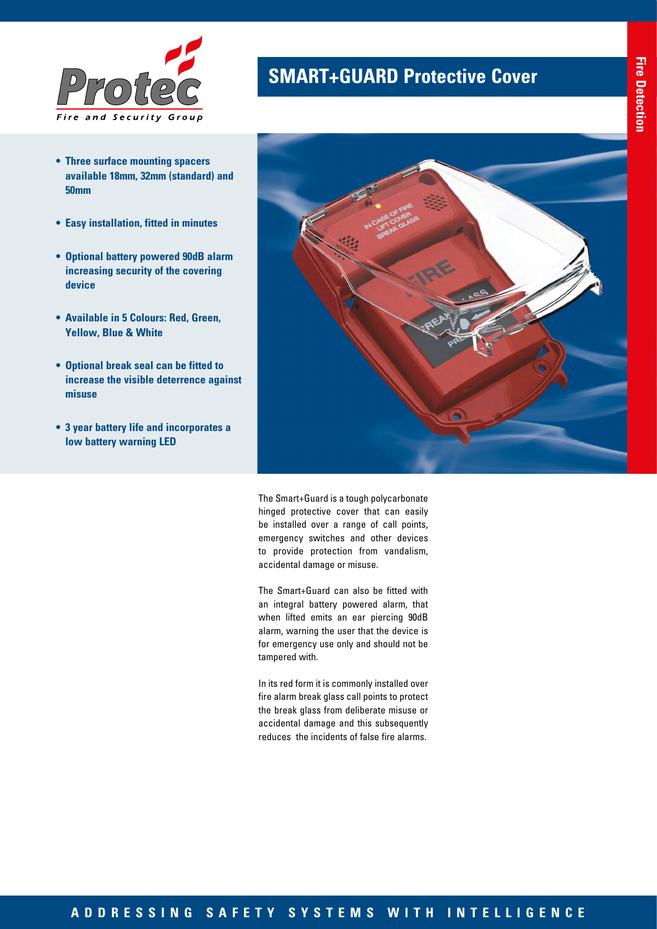

- **• Three surface mounting spacers available 18mm, 32mm (standard) and 50mm**
- **• Easy installation, fitted in minutes**
- **• Optional battery powered 90dB alarm increasing security of the covering device**
- **• Available in 5 Colours: Red, Green, Yellow, Blue & White**
- **• Optional break seal can be fitted to increase the visible deterrence against misuse**
- **• 3 year battery life and incorporates a low battery warning LED**

## **SMART+GUARD Protective Cover**



The Smart+Guard is a tough polycarbonate hinged protective cover that can easily be installed over a range of call points, emergency switches and other devices to provide protection from vandalism, accidental damage or misuse.

The Smart+Guard can also be fitted with an integral battery powered alarm, that when lifted emits an ear piercing 90dB alarm, warning the user that the device is for emergency use only and should not be tampered with.

In its red form it is commonly installed over fire alarm break glass call points to protect the break glass from deliberate misuse or accidental damage and this subsequently reduces the incidents of false fire alarms.